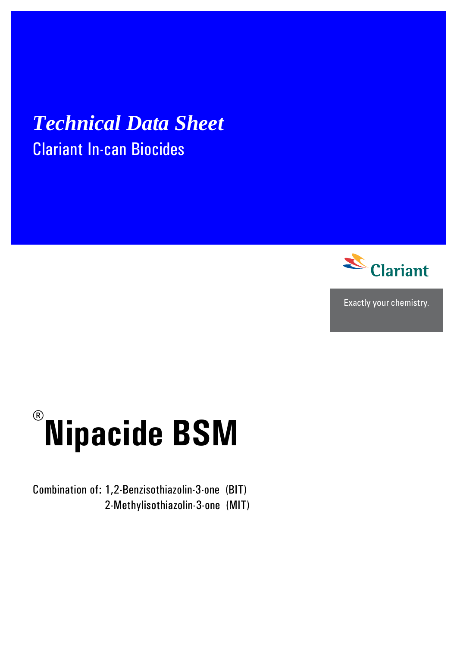# *Technical Data Sheet* Clariant In-can Biocides



Exactly your chemistry.

# **® Nipacide BSM**

Combination of: 1,2-Benzisothiazolin-3-one (BIT) 2-Methylisothiazolin-3-one (MIT)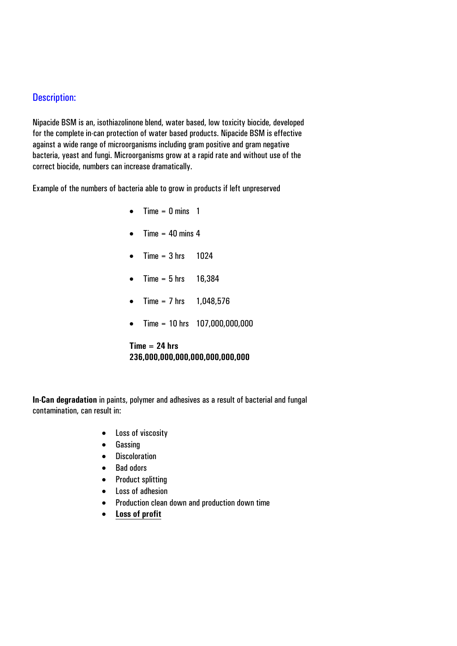### Description:

Nipacide BSM is an, isothiazolinone blend, water based, low toxicity biocide, developed for the complete in-can protection of water based products. Nipacide BSM is effective against a wide range of microorganisms including gram positive and gram negative bacteria, yeast and fungi. Microorganisms grow at a rapid rate and without use of the correct biocide, numbers can increase dramatically.

Example of the numbers of bacteria able to grow in products if left unpreserved

- $\bullet$  Time = 0 mins 1
- Time  $= 40$  mins 4
- Time =  $3 \text{ hrs}$  1024
- Time =  $5 \text{ hrs}$  16,384
- Time =  $7 \text{ hrs}$  1,048,576
- Time = 10 hrs 107,000,000,000

#### **Time = 24 hrs 236,000,000,000,000,000,000,000**

**In-Can degradation** in paints, polymer and adhesives as a result of bacterial and fungal contamination, can result in:

- Loss of viscosity
- Gassing
- Discoloration
- Bad odors
- Product splitting
- Loss of adhesion
- Production clean down and production down time
- **Loss of profit**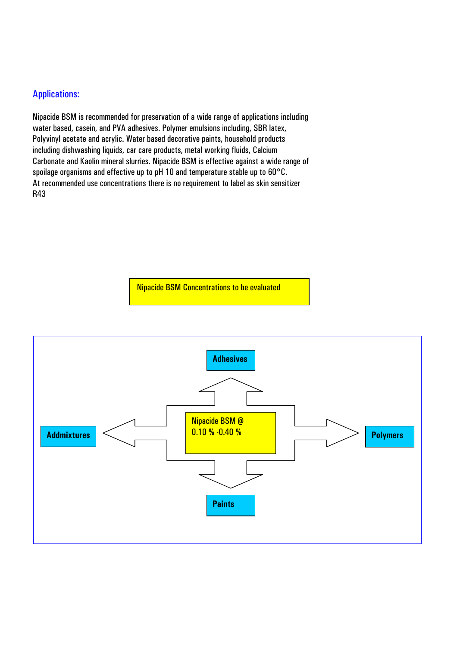## Applications:

Nipacide BSM is recommended for preservation of a wide range of applications including water based, casein, and PVA adhesives. Polymer emulsions including, SBR latex, Polyvinyl acetate and acrylic. Water based decorative paints, household products including dishwashing liquids, car care products, metal working fluids, Calcium Carbonate and Kaolin mineral slurries. Nipacide BSM is effective against a wide range of spoilage organisms and effective up to pH 10 and temperature stable up to 60°C. At recommended use concentrations there is no requirement to label as skin sensitizer R43



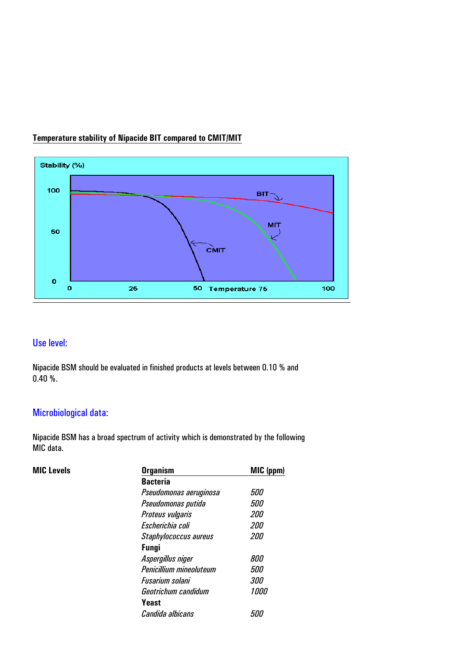

## **Temperature stability of Nipacide BIT compared to CMIT/MIT**

# Use level:

Nipacide BSM should be evaluated in finished products at levels between 0.10 % and 0.40 %.

# Microbiological data:

Nipacide BSM has a broad spectrum of activity which is demonstrated by the following MIC data.

| <b>MIC Levels</b> | <b>Organism</b>         | MIC (ppm)  |  |  |
|-------------------|-------------------------|------------|--|--|
|                   | <b>Bacteria</b>         |            |  |  |
|                   | Pseudomonas aeruginosa  | <i>500</i> |  |  |
|                   | Pseudomonas putida      | <i>500</i> |  |  |
|                   | Proteus vulgaris        | 200        |  |  |
|                   | Escherichia coli        | <i>200</i> |  |  |
|                   | Staphylococcus aureus   | <i>200</i> |  |  |
|                   | <b>Fungi</b>            |            |  |  |
|                   | Aspergillus niger       | 800        |  |  |
|                   | Penicillium mineoluteum | <i>500</i> |  |  |
|                   | Fusarium solani         | <i>300</i> |  |  |
|                   | Geotrichum candidum     | 1000       |  |  |
|                   | Yeast                   |            |  |  |
|                   | Candida albicans        | 500        |  |  |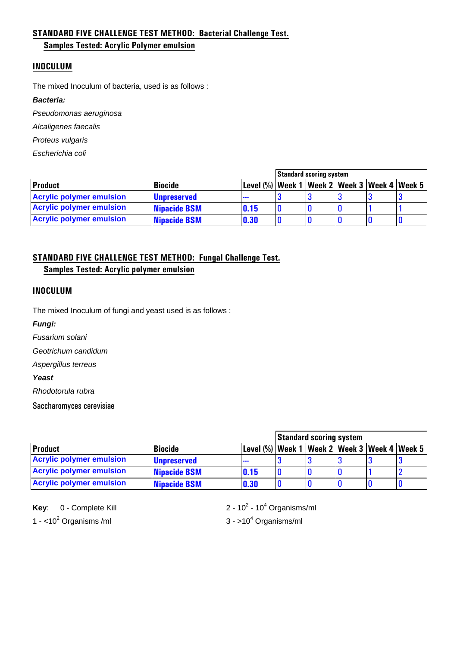#### **STANDARD FIVE CHALLENGE TEST METHOD: Bacterial Challenge Test.**

#### **Samples Tested: Acrylic Polymer emulsion**

#### **INOCULUM**

The mixed Inoculum of bacteria, used is as follows :

#### *Bacteria:*

*Pseudomonas aeruginosa* 

*Alcaligenes faecalis* 

*Proteus vulgaris* 

*Escherichia coli* 

|                                 |                     |                                                   |  | <b>Standard scoring system</b> |  |  |  |
|---------------------------------|---------------------|---------------------------------------------------|--|--------------------------------|--|--|--|
| <b>Product</b>                  | Biocide             | Level (%)  Week 1  Week 2  Week 3  Week 4  Week 5 |  |                                |  |  |  |
| <b>Acrylic polymer emulsion</b> | <b>Unpreserved</b>  | $\cdots$                                          |  |                                |  |  |  |
| <b>Acrylic polymer emulsion</b> | <b>Nipacide BSM</b> | 0.15                                              |  |                                |  |  |  |
| <b>Acrylic polymer emulsion</b> | <b>Nipacide BSM</b> | 0.30                                              |  |                                |  |  |  |

#### **STANDARD FIVE CHALLENGE TEST METHOD: Fungal Challenge Test.**

**Samples Tested: Acrylic polymer emulsion** 

#### **INOCULUM**

The mixed Inoculum of fungi and yeast used is as follows :

*Fungi:*

*Fusarium solani* 

*Geotrichum candidum* 

*Aspergillus terreus* 

*Yeast*

*Rhodotorula rubra* 

Saccharomyces cerevisiae

|                                 |                     |                                                   |  |  | <b>Standard scoring system</b> |  |  |  |
|---------------------------------|---------------------|---------------------------------------------------|--|--|--------------------------------|--|--|--|
| <b>Product</b>                  | <b>Biocide</b>      | Level (%)  Week 1  Week 2  Week 3  Week 4  Week 5 |  |  |                                |  |  |  |
| <b>Acrylic polymer emulsion</b> | <b>Unpreserved</b>  | $\cdots$                                          |  |  |                                |  |  |  |
| <b>Acrylic polymer emulsion</b> | Nipacide BSM        | 0.15                                              |  |  |                                |  |  |  |
| <b>Acrylic polymer emulsion</b> | <b>Nipacide BSM</b> | 0.30                                              |  |  |                                |  |  |  |

**Key:** 0 - Complete Kill 1 -  $<$ 10<sup>2</sup> Organisms /ml  $3 - > 10<sup>4</sup>$ 

 $-10<sup>4</sup>$  Organisms/ml

 $3 - 10<sup>4</sup>$  Organisms/ml